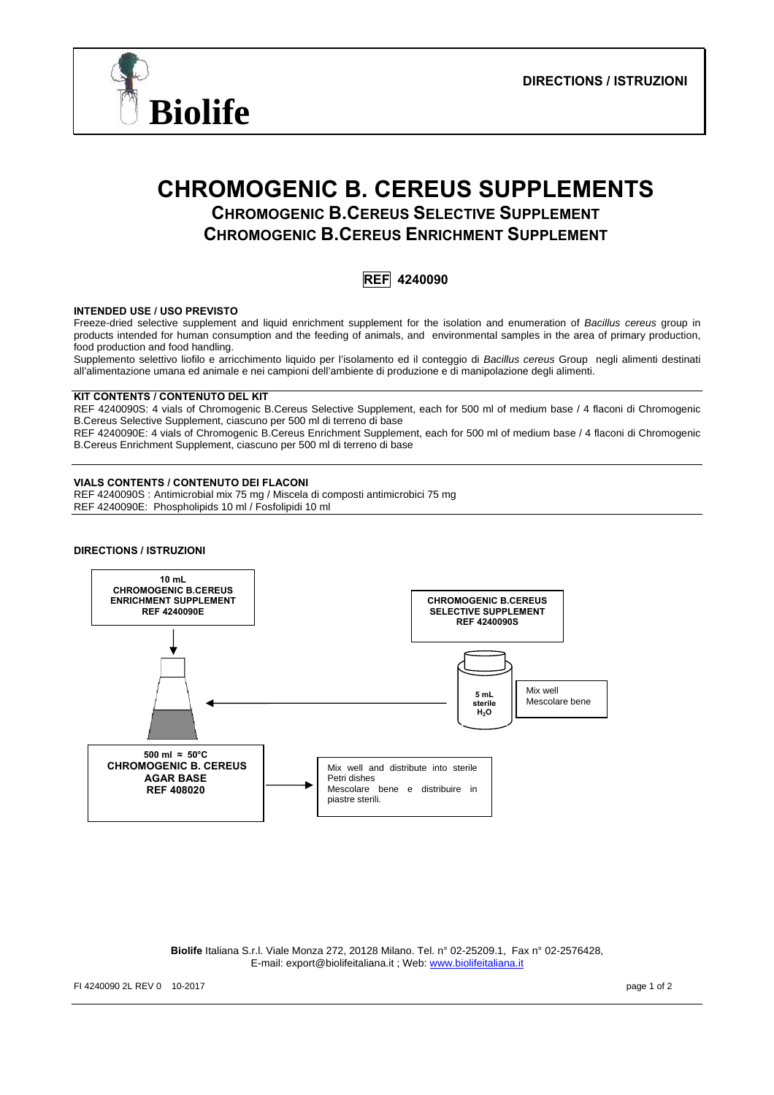

# **CHROMOGENIC B. CEREUS SUPPLEMENTS CHROMOGENIC B.CEREUS SELECTIVE SUPPLEMENT**

**CHROMOGENIC B.CEREUS ENRICHMENT SUPPLEMENT**

**REF 4240090** 

# **INTENDED USE / USO PREVISTO**

Freeze-dried selective supplement and liquid enrichment supplement for the isolation and enumeration of *Bacillus cereus* group in products intended for human consumption and the feeding of animals, and environmental samples in the area of primary production, food production and food handling.

Supplemento selettivo liofilo e arricchimento liquido per l'isolamento ed il conteggio di *Bacillus cereus* Group negli alimenti destinati all'alimentazione umana ed animale e nei campioni dell'ambiente di produzione e di manipolazione degli alimenti.

## **KIT CONTENTS / CONTENUTO DEL KIT**

REF 4240090S: 4 vials of Chromogenic B.Cereus Selective Supplement, each for 500 ml of medium base / 4 flaconi di Chromogenic B.Cereus Selective Supplement, ciascuno per 500 ml di terreno di base

REF 4240090E: 4 vials of Chromogenic B.Cereus Enrichment Supplement, each for 500 ml of medium base / 4 flaconi di Chromogenic B.Cereus Enrichment Supplement, ciascuno per 500 ml di terreno di base

## **VIALS CONTENTS / CONTENUTO DEI FLACONI**

REF 4240090S : Antimicrobial mix 75 mg / Miscela di composti antimicrobici 75 mg REF 4240090E: Phospholipids 10 ml / Fosfolipidi 10 ml

#### **DIRECTIONS / ISTRUZIONI**



**Biolife** Italiana S.r.l. Viale Monza 272, 20128 Milano. Tel. n° 02-25209.1, Fax n° 02-2576428, E-mail: export@biolifeitaliana.it ; Web: www.biolifeitaliana.it

FI 4240090 2L REV 0 10-2017 page 1 of 2